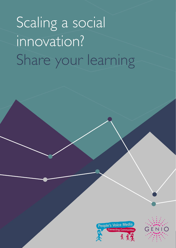# Scaling a social innovation? Share your learning



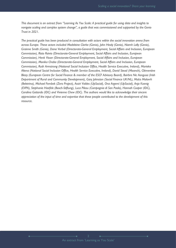*This document is an extract from "Learning As You Scale: A practical guide for using data and insights to navigate scaling and complex system change", a guide that was commissioned and supported by the Genio Trust in 2021.*

*The practical guide has been produced in consultation with actors within the social innovation arena from across Europe. These actors included Madeleine Clarke (Genio), John Healy (Genio), Niamh Lally (Genio), Grainne Smith (Genio), Dana Verbal (Directorate-General Employment, Social Affairs and Inclusion, European Commission), Risto Raivio (Directorate-General Employment, Social Affairs and Inclusion, European Commission), Henk Visser (Directorate-General Employment, Social Affairs and Inclusion, European Commission), Monika Chaba (Directorate-General Employment, Social Affairs and Inclusion, European Commission), Ruth Armstrong (National Social Inclusion Office, Health Service Executive, Ireland), Marieke Altena (National Social Inclusion Office, Health Service Executive, Ireland), David Stead (Maanch), Clémentine Blazy (European Centre for Social Finance & member of the ESCF Advisory Board), Bairbre Nic Aongusa (Irish Department of Rural and Community Development), Gary Johnston (Social Finance UK/NL), Maša Malovrh (Beletrina), Michael Fembek (Zero Project), Assiri Valdes (UpSocial), Ona Argemí (UpSocial), Anja Koenig (EVPA), Stephanie Haefele (Bosch-Stiftung), Luca Pilosu (Compagnia di San Paolo), Hannah Cooper (IDC), Carolina Gottardo (IDC) and Vivienne Chew (IDC). The authors would like to acknowledge their sincere appreciation of the input of time and expertise that these people contributed to the development of this resource.*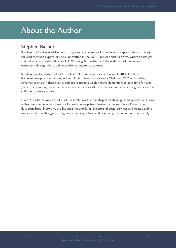## About the Author

## Stephen Barnett

Stephen is a freelance advisor on strategy and social impact in the European space. He is currently the lead thematic expert for social innovation in the [ESF+ Transnational Platform,](https://ec.europa.eu/esf/transnationality/) where he designs and delivers capacity-building for ESF Managing Authorities and the wider social innovation ecosystem through the social innovation competence centres.

Stephen has also consulted for EuroHealthNet on impact evaluation and EUROCITIES on homelessness practices, among others. At local level, he advised a Chair and CEO on handling a governance crisis in their charity and coordinated a weekly active dementia club part-time for two years. In a voluntary capacity, he is a member of a social investment committee and a governor at his children's primary school.

From 2013-18, he was the CEO of Euclid Network and reshaped its strategy, funding and operations to become the European network for social enterprises. Previously, he was Policy Director with European Social Network, the European network for directors of social services and related public agencies. He thus brings a strong understanding of local and regional government and civil society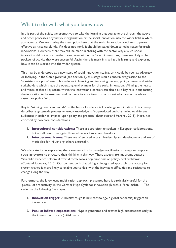### What to do with what you know now

In this part of the guide, we prompt you to take the learning that you generate through the above and other processes beyond your organisation or the social innovation into the wider field in which you operate. We are making the assumption here that the social innovation continues to prove effective as it scales: bluntly, if it does not work, it should be scaled down to make space for fresh innovations. However, there may still be merit in sharing with the sector why a failed social innovation did not work. Furthermore, even within the 'failed' innovations, there are likely to be pockets of activity that were successful. Again, there is merit in sharing this learning and exploring how it can be worked into the wider system.

This may be understood as a new stage of social innovation scaling, or it could be seen as advocacy or lobbying. In the Genio pyramid (see Section 1), this stage would concern progression to the 'consistent adoption' level. This includes influencing and informing funders, policy-makers and wider stakeholders which shape the operating environment for the social innovation. Winning the hearts and minds of these key actors within the innovation's context can also play a key role in supporting the innovation to be sustained and continue to scale towards consistent adoption in the whole system or policy field.

Key to 'winning hearts and minds' on the basis of evidence is knowledge mobilisation. This concept describes a systematic process whereby knowledge is "co-produced and channelled to different audiences in order to 'impact' upon policy and practice" (Bannister and Hardhill, 2015). Here, it is enriched by two core considerations:

- 1. **Intercultural considerations:** These are too often unspoken in European collaborations, but we all have to navigate them when working across borders.
- 2. **Interpersonal issues:** These are often used in team leadership and development and are of merit also for influencing others externally.

We advocate for incorporating these elements in a knowledge mobilisation strategy and support social innovators to structure their thinking in this way. These aspects are important because "scientific evidence seldom, if ever, directly solves organizational or policy-level problems" (Contandriopoulos, 2010). Our contention is that taking an integrated approach to advocacy for system change is more likely to enable you to deal with the inevitable difficulties and resistance to change along the way.

Furthermore, the knowledge mobilisation approach presented here is particularly useful for the 'plateau of productivity' in the Gartner Hype Cycle for innovation (Blosch & Fenn, 2018). The cycle has the following five stages:

- 1. **Innovation trigger:** A breakthrough (a new technology, a global pandemic) triggers an innovation.
- 2. **Peak of inflated expectations:** Hype is generated and creates high expectations early in the innovation process (initial buzz).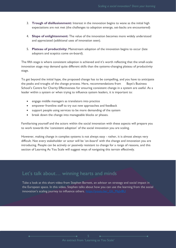- 3. **Trough of disillusionment:** Interest in the innovation begins to wane as the initial high expectations are not met (the challenges to adoption emerge, set-backs are encountered)
- 4. **Slope of enlightenment:** The value of the innovation becomes more widely understood and appreciated (additional uses of innovation seen).
- 5. **Plateau of productivity:** Mainstream adoption of the innovation begins to occur (late adopters and sceptics come on-board).

The fifth stage is where consistent adoption is achieved and it's worth reflecting that the small-scale innovation stage may demand quite different skills than the systems-changing plateau of productivity stage.

To get beyond the initial hype, the proposed change has to be compelling, and you have to anticipate the peaks and troughs of the change process. Here, recommendations from Baye's Business School's Centre for Charity Effectiveness for ensuring consistent change in a system are useful. As a leader within a system or when trying to influence system leaders, it is important to:

- engage middle managers as translators into practice
- empower frontline staff to try out new approaches and feedback
- support people using services to be more demanding of the system
- break down the change into manageable blocks or phases.

Familiarising yourself and the actors within the social innovation with these aspects will prepare you to work towards the 'consistent adoption' of the social innovation you are scaling.

However, making change in complex systems is not always easy - rather, it is almost always very difficult. Not every stakeholder or actor will be 'on-board' with the change and innovation you are introducing. People can be actively or passively resistant to change for a range of reasons, and this section of Learning As You Scale will suggest ways of navigating this terrain effectively.

## Let's talk about… winning hearts and minds

Take a look at this short video from Stephen Barnett, an advisor on strategy and social impact in the European space. In this video, Stephen talks about how you can use the learning from the social innovation's scaling journey to influence others. https://youtu.be/ Gh\_MaJvl8U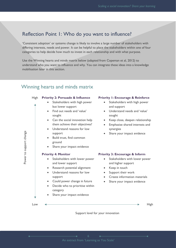## Reflection Point 1: Who do you want to influence?

'Consistent adoption' or systems change is likely to involve a large number of stakeholders with differing interests, needs and power. It can be helpful to place the stakeholders within one of four categories to help decide how much to invest in each relationship and with what purpose.

Use the Winning hearts and minds matrix below (adapted from Copeman et al, 2012) to understand who you want to influence and why. You can integrate these ideas into a knowledge mobilisation later in this section.

| <b>Priority 2: Persuade &amp; Influence</b><br>Stakeholders with high power<br>but lower support<br>Find out needs and 'value'<br>sought<br>Can the social innovation help<br>$\bullet$<br>them achieve their objectives?<br>Understand reasons for low<br>support<br>Build trust, find common<br>ground<br>Share your impact evidence | <b>Priority I: Encourage &amp; Reinforce</b><br>Stakeholders with high power<br>and support<br>Understand needs and 'value'<br>sought<br>Keep close, deepen relationship<br>$\bullet$<br>Emphasise shared interests and<br>synergies<br>Share your impact evidence |
|----------------------------------------------------------------------------------------------------------------------------------------------------------------------------------------------------------------------------------------------------------------------------------------------------------------------------------------|--------------------------------------------------------------------------------------------------------------------------------------------------------------------------------------------------------------------------------------------------------------------|
| <b>Priority 4: Monitor</b><br>Stakeholders with lower power<br>and lower support<br>Research potential alignment<br>$\bullet$<br>Understand reasons for low<br>support<br>Could power change in future<br>$\bullet$<br>Decide who to prioritise within<br>$\bullet$<br>category                                                        | <b>Priority 3: Encourage &amp; Inform</b><br>Stakeholders with lower power<br>and higher support<br>Keep in touch<br>Support their work<br>Create information materials<br>Share your impact evidence                                                              |

Winning hearts and minds matrix

Power to support change

Power to support change

#### **Prioring 2: Encourage & Reinforce**

- akeholders with high power d support
- derstand needs and 'value' ught
- ep close, deepen relationship
- hetasise shared interests and nergies
- are your impact evidence

#### **Priority 3: Encourage & Inform**

- akeholders with lower power d higher support
- ep in touch
- pport their work
- eate information materials
- are your impact evidence

Support level for your innovation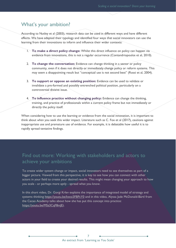## What's your ambition?

According to Nutley et al (2003), research data can be used in different ways and have different effects. We have adapted their typology and identified four ways that social innovators can use the learning from their innovations to inform and influence their wider contexts:

- 1. **To make a direct policy change:** Whilst this direct influence on policy can happen via evidence from innovations, this is not a regular occurrence (Contandriopoulos et al, 2010).
- 2. **To change the conversation:** Evidence can change thinking in a sector or policy community, even if it does not directly or immediately change policy or reform systems. This may seem a disappointing result but "conceptual use is not second best" (Rossi et al, 2004).
- 3. **To support or oppose an existing position:** Evidence can be used to validate or invalidate a pre-formed and possibly entrenched political position, particularly on a controversial divisive issue.
- 4. **To influence practice without changing policy:** Evidence can change the thinking, training, and practice of professionals within a current policy frame but not immediately or directly the policy itself.

When considering how to use the learning or evidence from the social innovation, it is important to think about *when* you seek this wider impact. Literature such as C. Fox et al (2017), cautions against inappropriate use and premature use of evidence. For example, it is debatable how useful it is to rapidly spread tentative findings.

## Find out more: Working with stakeholders and actors to achieve your ambitions

To create wider system change or impact, social innovators need to see themselves as part of a bigger picture. Viewed from this perspective, it is key to see how you can connect with other actors in your field to create your desired results. This might mean changing your approach to how you scale - or perhaps more aptly - spread what you know.

In this short video, Dr. Gorgi Krlev explains the importance of integrated model of strategy and systems thinking<https://youtu.be/kwoi3FBPcY0> and in this video, Alyssa Jade McDonald-Bärtl from the Cacao Academy talks about how she has put this concept into practice: [https://youtu.be/MSz3CqF8mJE\)](https://youtu.be/MSz3CqF8mJE).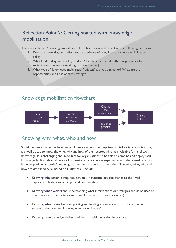## Reflection Point 2: Getting started with knowledge mobilisation

Look at the linear Knowledge mobilisation flowchart below and reflect on the following questions:

- 1. Does the linear diagram reflect your experience of using impact evidence to influence policy?
- 2. What kind of diagram would you draw? Go ahead and do it, either in general or for the social innovation you're working to scale (further).
- 3. What type of 'knowledge mobilisation' effect(s) are you aiming for? What are the opportunities and risks of each strategy?

## Knowledge mobilisation flowchart



## Knowing why, what, who and how

Social innovators, whether frontline public services, social enterprises or civil society organisations, are well-placed to know the who, why and how of their sector, which are valuable forms of tacit knowledge. It is challenging and important for organisations to be able to combine and deploy tacit knowledge built up through years of professional or volunteer experience with the formal research knowledge of 'what works', knowing that neither is superior to the other. The why, what, who and how are described here, based on Nutley et al (2003):

- Knowing **why** action is required, not only in statistics but also thanks to the 'lived experience' testimony of people and communities.
- Knowing **what works** and understanding what interventions or strategies should be used to meet policy goals and client needs (and knowing what does not work).
- Knowing **who** to involve in supporting and funding scaling efforts that may lead up to systemic adoption (and knowing who not to involve).
- Knowing **how** to design, deliver and fund a social innovation in practice.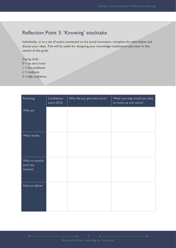## Reflection Point 3: 'Knowing' stocktake

Individually, or as a set of actors connected to the social innovation, complete the table below and discuss your ideas. This will be useful for designing your knowledge mobilisation plan later in this section of the guide.

#### *Scoring Scale:*

- *0 = we don't know*
- *1 = low confidence*
- *2 = moderate*
- *3 = high confidence*

| Knowing                                | Confidence<br>score $(0-3)$ | Why did you give this score? | What one step could you take<br>to move up one score? |
|----------------------------------------|-----------------------------|------------------------------|-------------------------------------------------------|
| Why act                                |                             |                              |                                                       |
| What works                             |                             |                              |                                                       |
| Who to involve<br>(and not<br>involve) |                             |                              |                                                       |
| How to deliver                         |                             |                              |                                                       |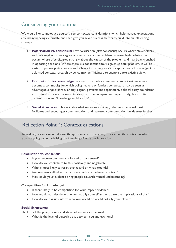## Considering your context

We would like to introduce you to three contextual considerations which help manage expectations around influencing externally, and then give you seven success factors to build into an influencing strategy.

- 1. **Polarisation vs. consensus:** Low polarisation (aka: consensus) occurs where stakeholders and policymakers largely agree on the nature of the problem, whereas high polarisation occurs where they disagree strongly about the causes of the problem and may be entrenched in opposing positions. Where there is a consensus about a given societal problem, it will be easier to pursue policy reform and achieve instrumental or conceptual use of knowledge; in a polarised context, research evidence may be (mis)used to support a pre-existing view.
- 2. **Competition for knowledge:** In a sector or policy community, impact evidence may become a commodity for which policy-makers or funders compete. It may be seen as advantageous for a particular city, region, government department, political party, foundation etc. to fund not only the social innovation, or an independent impact study, but also its dissemination and 'knowledge mobilisation'.
- 3. **Social structures:** This validates what we know intuitively; that interpersonal trust facilitates and encourages communication, and repeated communication builds trust further.

## Reflection Point 4: Context questions

Individually, or in a group, discuss the questions below as a way to examine the context in which you are going to be mobilising the knowledge from your innovation.

#### **Polarisation vs. consensus:**

- Is your sector/community polarised or consensual?
- How do you contribute to this positively and negatively?
- Who is most likely to resist change and on what grounds?
- Are you firmly allied with a particular side in a polarised context?
- How could your evidence bring people towards mutual understanding?

#### **Competition for knowledge?**

- Is there likely to be competition for your impact evidence?
- How would you decide with whom to ally yourself and what are the implications of this?
- How do your values inform who you would or would not ally yourself with?

#### **Social Structures:**

Think of all the policymakers and stakeholders in your network.

• What is the level of trust/distrust between you and each one?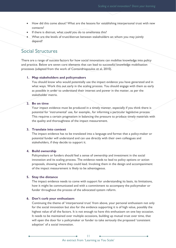- How did this come about? What are the lessons for establishing interpersonal trust with new contacts?
- If there is distrust, what could you do to ameliorate this?
- What are the levels of trust/distrust between stakeholders on whom you may jointly depend?

## Social Structures

There are a range of success factors for how social innovations can mobilise knowledge into policy and practice. Below are seven core elements that can lead to successful knowledge mobilisation processes (adapted from the work of Contandriopoulos et al, 2010).

#### **1. Map stakeholders and policymakers**

You should know who would potentially use the impact evidence you have generated and in what ways. Work this out early in the scaling process. You should engage with them as early as possible in order to understand their interest and power in the matter, as per the stakeholder matrix.

#### **2. Be on time**

Your impact evidence must be produced in a timely manner, especially if you think there is potential for 'instrumental' use, for example., for informing a particular legislative process. This requires a certain pragmatism in balancing the pressure to produce timely materials with the quality and thoroughness of the impact measurement.

#### **3. Translate into context**

The impact evidence has to be translated into a language and format that a policy-maker or potential funder will understand and can use directly with their own colleagues and stakeholders, if they decide to support it.

#### **4. Build ownership**

Policymakers or funders should feel a sense of ownership and investment in the social innovation and its scaling process. The evidence needs to lead to policy options or action proposals, showing where they could lead. Involving them in the design and accompaniment of the impact measurement is likely to be advantageous.

#### **5. Stay the distance**

The impact evidence needs to come with support for understanding its basis, its limitations, how it might be communicated and with a commitment to accompany the policymaker or funder throughout the process of the advocated system reform.

#### **6. Don't curb your enthusiasm**

Continuing the theme of 'interpersonal trust' from above, your personal enthusiasm not only for the social innovation but also for the evidence supporting it is of high value, possibly the highest value of all the factors. It is not enough to have this enthusiasm on one key occasion. It needs to be maintained over multiple occasions, building up mutual trust over time, that will open the door for a policymaker or funder to take seriously the proposed 'consistent adoption' of a social innovation.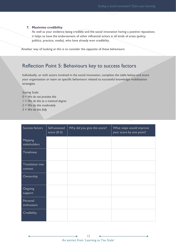#### **7. Maximise credibility**

As well as your evidence being credible and the social innovation having a positive reputation, it helps to have the endorsement of other influential actors in all kinds of areas (policy, politics, practice, media), who have already won credibility.

Another way of looking at this is to consider the opposite of these behaviours:

## Reflection Point 5: Behaviours key to success factors

Individually, or with actors involved in the social innovation, complete the table below and score your organisation or team on specific behaviours related to successful knowledge mobilisation strategies.

*Scoring Scale: 0 = We do not practise this 1 = We do this to a minimal degree 2 = We do this moderately 3 = We do this fully* 

| Success factors             | Self-assessed<br>score $(0-3)$ | Why did you give this score? | What steps would improve<br>your score by one point? |
|-----------------------------|--------------------------------|------------------------------|------------------------------------------------------|
| Mapping<br>stakeholders     |                                |                              |                                                      |
| <b>Timeliness</b>           |                                |                              |                                                      |
| Translation into<br>context |                                |                              |                                                      |
| Ownership                   |                                |                              |                                                      |
| Ongoing<br>support          |                                |                              |                                                      |
| Personal<br>enthusiasm      |                                |                              |                                                      |
| <b>Credibility</b>          |                                |                              |                                                      |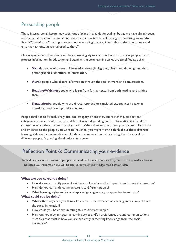## Persuading people

These interpersonal factors may seem out of place in a guide for scaling, but as we have already seen, interpersonal trust and personal enthusiasm are important to influencing or mobilising knowledge. Rossi (2004) affirms "the importance of understanding the cognitive styles of decision makers and ensuring that outputs are tailored to these".

One way of approaching this could be via learning styles - or in other words - how people like to process information. In education and training, the core learning styles are simplified as being:

- **Visual:** people who take in information through diagrams, charts and drawings and thus prefer graphic illustrations of information.
- **Aural:** people who absorb information through the spoken word and conversations.
- **Reading/Writing:** people who learn from formal texts, from both reading and writing them.
- **Kinaesthetic**: people who use direct, reported or simulated experiences to take in knowledge and develop understanding.

People tend not to fit exclusively into one category or another, but rather may fit between categories or process information in different ways, depending on the information itself and the context in which they present the information. When thinking about how you present information and evidence to the people you want to influence, you might want to think about these different learning styles and combine different kinds of communication materials together to appeal to different people. (e.g. using visualisations in reports)

## Reflection Point 6: Communicating your evidence

Individually, or with a team of people involved in the social innovation, discuss the questions below. The ideas you generate here will be useful for your knowledge mobilisation plan.

#### **What are you currently doing?**

- How do you currently present evidence of learning and/or impact from the social innovation?
- How do you currently communicate it to different people?
- What learning styles and/or work-place typologies are you appealing to and why?

#### **What could you be doing?**

- What other ways can you think of to present the evidence of learning and/or impact from the social innovation?
- How could you be communicating this to different people?
- How can you plug any gaps in learning styles and/or preferences around communications materials that exist in how you are currently presenting knowledge from the social innovation?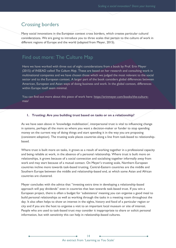## Crossing borders

Many social innovations in the European context cross borders, which creates particular cultural considerations. We are going to introduce you to three scales that pertain to the culture of work in different regions of Europe and the world (adapted from Meyer, 2015).

## Find out more: The Culture Map

Here we have worked with three out of eight considerations from a book by Prof. Erin Meyer (2015) of INSEAD called *The Culture Map*. These are based on her research and consulting work in multinational companies and we have chosen those which we judged the most relevant to the social sector and to the European context. A larger part of the book considers global differences between American, European and Asian ways of doing business and work. In the global context, differences within Europe itself seem minimal.

You can find out more about this piece of work here: [https://erinmeyer.com/books/the-culture](https://erinmeyer.com/books/the-culture-map/)[map/](https://erinmeyer.com/books/the-culture-map/)

#### **1. Trusting: Are you building trust based on tasks or on a relationship?**

As we have seen above in 'knowledge mobilisation', interpersonal trust is vital to influencing change in systems, perhaps all the more so where you want a decision-maker or funder to stop spending money on the current way of doing things and start spending it in the way you are proposing (consistent adoption). The trusting scale places countries along a line from task-based to relationshipbased.

Where trust is built more on tasks, it grows as a result of working together in a professional capacity and being reliable at work, in the absence of a personal relationship. Where trust is built more on relationships, it grows because of a social connection and socialising together informally away from work and may start because of a mutual contact. On Meyer's trusting scale, Northern European countries incline more towards task-based trusting, Central-Eastern countries are the middle and Southern Europe between the middle and relationship-based end, at which some Asian and African countries are clustered.

Meyer concludes with the advice that "investing extra time in developing a relationship-based approach will pay dividends" even in countries that lean towards task-based trust. If you win a European project, there is often a budget for 'subsistence' meaning you can organise a good meal to build personal relationships as well as working through the tasks in a meeting room throughout the day. It also often helps to show an interest in the sights, history and food of a particular region or city and if you are the host to organise a visit to an important local museum or site of interest. People who are used to task-based trust may consider it inappropriate to share or solicit personal information, but with sensitivity this can help in relationship-based cultures.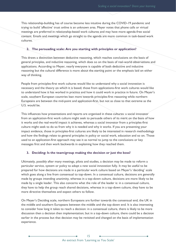This relationship-building has of course become less intuitive during the COVID-19 pandemic and trying to build 'affective' trust online is an unknown area. Meyer notes that phone calls or virtual meetings are preferred in relationship-based work cultures and may have more agenda-free social content. Emails and meetings which go straight to the agenda are more common in task-based work cultures.

#### **2. The persuading scale: Are you starting with principles or application?**

This draws a distinction between deductive reasoning, which reaches conclusions on the basis of general principles, and inductive reasoning, which does so on the basis of real-world observations and applications. According to Meyer, nearly everyone is capable of both deductive and inductive reasoning but the cultural difference is more about the starting point or the emphasis laid on either way of thinking.

People from principles-first work cultures would like to understand why a social innovation is necessary and the theory on which it is based; those from applications-first work cultures would like to understand how it has worked in practice and how it could work in practice in future. On Meyer's scale, southern European countries lean more towards principles-first reasoning while northern Europeans are between the mid-point and application-first, but not as close to that extreme as the U.S. would be.

This influences how presentations and reports are organised in these cultures: a social innovator from an application-first work culture might seek to persuade others of its merit on the basis of how it works and the real-world impact it achieves, whereas a social innovator from a principles-first culture might seek to do so from why it is needed and why it works. If you are presenting your impact evidence, those in principles-first cultures are likely to be interested in research methodology and how the findings relate to general principles in policy or social work, education and so on. Those used to an application-first approach may see it as normal to jump to the conclusions or key messages first and then work backwards in explaining how they reached them.

#### **3. Deciding: Is the team/group making the decision or just the boss?**

Ultimately, possibly after many meetings, pilots and studies, a decision may be made to reform a particular service, system or policy to adopt a new social innovation fully. It may be useful to be prepared for how decisions are made in a particular work culture based on Meyer's 'deciding' scale which goes along a line from consensual to top-down. In a consensual culture, decisions are generally made by groups intending unanimity, whereas in a top-down culture, decisions are more likely to be made by a single leader. This also concerns what the role of the leader is: in a consensual culture, they have to help the group reach shared decisions, whereas in a top-down culture, they have to be more directive themselves and expect others to follow.

On Meyer's Deciding scale, northern Europeans are further towards the consensual end, the UK in the middle and southern Europeans between the middle and the top-down end. It is also interesting to consider how long it takes to reach a decision: in a consensual culture, there is likely to be more discussion then a decision then implementation; but in a top-down culture, there could be a decision earlier in the process but that decision may be revisited and changed on the basis of implementation experience.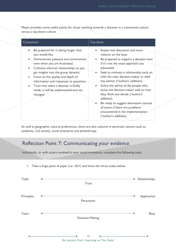Meyer provides some useful points for those working towards a decision in a consensual culture versus a top-down culture.

| Consensual                                                                                                                                                                                                                                                                                                                                                                                        | Top-down                                                                                                                                                                                                                                                                                                                                                                                                                                                                                                                                                                                 |
|---------------------------------------------------------------------------------------------------------------------------------------------------------------------------------------------------------------------------------------------------------------------------------------------------------------------------------------------------------------------------------------------------|------------------------------------------------------------------------------------------------------------------------------------------------------------------------------------------------------------------------------------------------------------------------------------------------------------------------------------------------------------------------------------------------------------------------------------------------------------------------------------------------------------------------------------------------------------------------------------------|
| Be prepared for it taking longer than<br>you would like.<br>Demonstrate patience and commitment<br>even when you are frustrated.<br>Cultivate informal relationships so you.<br>get insights into the group dynamic.<br>Focus on the quality and depth of<br>information and responses to questions.<br>Trust that when a decision is finally<br>made, it will be implemented and not<br>changed. | Expect less discussion and more<br>reliance on the boss.<br>Be prepared to support a decision even<br>if it's not the exact approach you<br>advocated.<br>Seek to cultivate a relationship early on<br>$\bullet$<br>with the main decision-maker or their<br>key advisor (*authors' addition).<br>Solicit the advice of the people who<br>$\bullet$<br>know the decision-maker well on how<br>they think and decide (*authors'<br>addition).<br>Be ready to suggest alternative courses<br>of action if there are problems<br>encountered in the implementation<br>(*author's addition). |

As well as geographic cultural preferences, there are also cultures in particular sectors such as academia, civil society, social enterprise and philanthropy.

## Reflection Point 7: Communicating your evidence

Individually, or with actors involved in your social innovation, complete the following tasks:

1. Take a large piece of paper (i.e., A3+) and draw the three scales below.

| <b>Tasks</b> | Trust                                         | ▶. | Relationships |
|--------------|-----------------------------------------------|----|---------------|
| Principles   | Persuasion                                    |    | Application   |
| Team         | Decision-Making                               |    | <b>Boss</b>   |
|              | 16<br>An extract from 'Learning as You Scale' |    |               |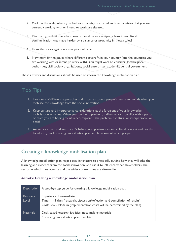- 2. Mark on the scale, where you feel your country is situated and the countries that you are currently working with or intend to work are situated.
- 3. Discuss if you think there has been or could be an example of how intercultural communication was made harder by a distance or proximity in these scales?
- 4. Draw the scales again on a new piece of paper.
- 5. Now mark on the scales where different sectors fit in your country (and the countries you are working with or intend to work with). You might want to consider: local/regional authorities; civil society organisations; social enterprises; academia; central government.

These answers and discussions should be used to inform the knowledge mobilisation plan.

## Top Tips

- 1. Use a mix of different approaches and materials to win people's hearts and minds when you mobilise the knowledge from the social innovation.
- 2. Keep cultural and interpersonal considerations at the forefront of your knowledge mobilisation activities. When you run into a problem, a dilemma or a conflict with a person or team you are hoping to influence, explore if the problem is cultural or interpersonal, or both?
- 3. Assess your own and your team's behavioural preferences and cultural context and use this to inform your knowledge mobilisation plan and how you influence people.

## Creating a knowledge mobilisation plan

A knowledge mobilisation plan helps social innovators to practically outline how they will take the learning and evidence from the social innovation, and use it to influence wider stakeholders, the sector in which they operate and the wider context they are situated in.

#### **Activity: Creating a knowledge mobilisation plan**

| Description       | A step-by-step guide for creating a knowledge mobilisation plan.                                                                                                                      |
|-------------------|---------------------------------------------------------------------------------------------------------------------------------------------------------------------------------------|
| Resource<br>Level | Experience: Intermediate<br>Time: I - 3 days (research, discussion/reflection and compilation of results)<br>Cost: Low - Medium (Implementation costs will be determined by the plan) |
| Materials         | Desk-based research facilities, note-making materials<br>Knowledge mobilisation plan template                                                                                         |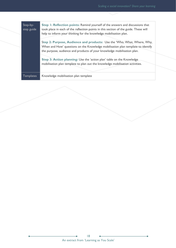| Step-by-<br>step guide | Step 1: Reflection points: Remind yourself of the answers and discussions that<br>took place in each of the reflection points in this section of the guide. These will<br>help to inform your thinking for the knowledge mobilisation plan. |  |  |  |  |
|------------------------|---------------------------------------------------------------------------------------------------------------------------------------------------------------------------------------------------------------------------------------------|--|--|--|--|
|                        | Step 2: Purpose, Audience and products: Use the 'Who, What, Where, Why,<br>When and How' questions on the Knowledge mobilisation plan template to identify<br>the purpose, audience and products of your knowledge mobilisation plan.       |  |  |  |  |
|                        | Step 3: Action planning: Use the 'action plan' table on the Knowledge<br>mobilisation plan template to plan out the knowledge mobilisation activities.                                                                                      |  |  |  |  |
| <b>Templates</b>       | Knowledge mobilisation plan template                                                                                                                                                                                                        |  |  |  |  |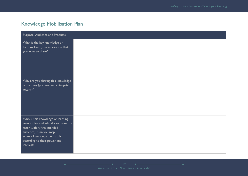## Knowledge Mobilisation Plan

| Purpose, Audience and Products                                                                                                                                                                                 |  |
|----------------------------------------------------------------------------------------------------------------------------------------------------------------------------------------------------------------|--|
| What is the key knowledge or<br>learning from your innovation that<br>you want to share?                                                                                                                       |  |
| Why are you sharing this knowledge<br>or learning (purpose and anticipated<br>results)?                                                                                                                        |  |
| Who is this knowledge or learning<br>relevant for and who do you want to<br>reach with it (the intended<br>audience)? Can you map<br>stakeholders onto the matrix<br>according to their power and<br>interest? |  |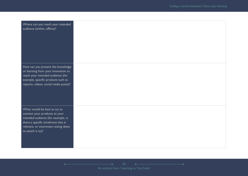| Where can you reach your intended<br>audience (online, offline)?                                                                                                                                       |  |
|--------------------------------------------------------------------------------------------------------------------------------------------------------------------------------------------------------|--|
| How can you present the knowledge<br>or learning from your innovation to<br>reach your intended audience (for<br>example, specific products such as<br>reports, videos, social media posts)?           |  |
| When would be best to try to<br>connect your products to your<br>intended audience (for example, is<br>there a specific timeframe that is<br>relevant, or awareness-raising dates<br>to attach it to)? |  |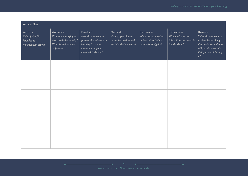٠

| <b>Action Plan</b>                                                  |                                                                                                       |                                                                                                                            |                                                                                  |                                                                                              |                                                                                 |                                                                                                                                                |
|---------------------------------------------------------------------|-------------------------------------------------------------------------------------------------------|----------------------------------------------------------------------------------------------------------------------------|----------------------------------------------------------------------------------|----------------------------------------------------------------------------------------------|---------------------------------------------------------------------------------|------------------------------------------------------------------------------------------------------------------------------------------------|
| Activity<br>Title of specific<br>knowledge<br>mobilisation activity | Audience<br>Who are you trying to<br>reach with this activity?<br>What is their interest<br>or power? | Product<br>How do you want to<br>present the evidence or<br>learning from your<br>innovation to your<br>intended audience? | Method<br>How do you plan to<br>share the product with<br>the intended audience? | <b>Resources</b><br>What do you need to<br>deliver this activity -<br>materials, budget etc. | Timescales<br>When will you start<br>this activity and what is<br>the deadline? | <b>Results</b><br>What do you want to<br>achieve by reaching<br>this audience and how<br>will you demonstrate<br>that you are achieving<br>it? |
|                                                                     |                                                                                                       |                                                                                                                            |                                                                                  |                                                                                              |                                                                                 |                                                                                                                                                |
|                                                                     |                                                                                                       |                                                                                                                            |                                                                                  |                                                                                              |                                                                                 |                                                                                                                                                |
|                                                                     |                                                                                                       |                                                                                                                            |                                                                                  |                                                                                              |                                                                                 |                                                                                                                                                |
|                                                                     |                                                                                                       |                                                                                                                            |                                                                                  |                                                                                              |                                                                                 |                                                                                                                                                |